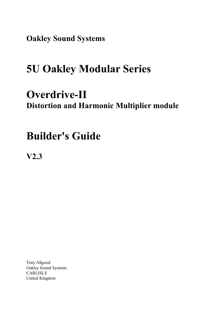**Oakley Sound Systems**

# **5U Oakley Modular Series**

# **Overdrive-II Distortion and Harmonic Multiplier module**

# **Builder's Guide**

**V2.3**

Tony Allgood Oakley Sound Systems CARLISLE United Kingdom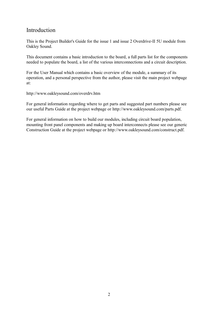# Introduction

This is the Project Builder's Guide for the issue 1 and issue 2 Overdrive-II 5U module from Oakley Sound.

This document contains a basic introduction to the board, a full parts list for the components needed to populate the board, a list of the various interconnections and a circuit description.

For the User Manual which contains a basic overview of the module, a summary of its operation, and a personal perspective from the author, please visit the main project webpage at:

http://www.oakleysound.com/overdrv.htm

For general information regarding where to get parts and suggested part numbers please see our useful Parts Guide at the project webpage or http://www.oakleysound.com/parts.pdf.

For general information on how to build our modules, including circuit board population, mounting front panel components and making up board interconnects please see our generic Construction Guide at the project webpage or http://www.oakleysound.com/construct.pdf.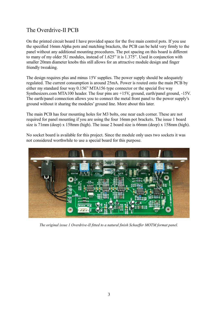# The Overdrive-II PCB

On the printed circuit board I have provided space for the five main control pots. If you use the specified 16mm Alpha pots and matching brackets, the PCB can be held very firmly to the panel without any additional mounting procedures. The pot spacing on this board is different to many of my older 5U modules, instead of 1.625" it is 1.375". Used in conjunction with smaller 20mm diameter knobs this still allows for an attractive module design and finger friendly tweaking.

The design requires plus and minus 15V supplies. The power supply should be adequately regulated. The current consumption is around 25mA. Power is routed onto the main PCB by either my standard four way 0.156" MTA156 type connector or the special five way Synthesizers.com MTA100 header. The four pins are +15V, ground, earth/panel ground, -15V. The earth/panel connection allows you to connect the metal front panel to the power supply's ground without it sharing the modules' ground line. More about this later.

The main PCB has four mounting holes for M3 bolts, one near each corner. These are not required for panel mounting if you are using the four 16mm pot brackets. The issue 1 board size is 71mm (deep) x 158mm (high). The issue 2 board size is 66mm (deep) x 158mm (high).

No socket board is available for this project. Since the module only uses two sockets it was not considered worthwhile to use a special board for this purpose.



*The original issue 1 Overdrive-II fitted to a natural finish Schaeffer MOTM format panel.*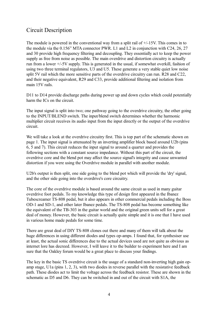# Circuit Description

The module is powered in the conventional way from a split rail of  $+/-15V$ . This comes in to the module via the 0.156" MTA connector PWR. L1 and L2 in conjunction with C24, 26, 27 and 30 provide high frequency filtering and decoupling. They essentially act to keep the power supply as free from noise as possible. The main overdrive and distortion circuitry is actually run from a lower +/-5V supply. This is generated in the usual, if somewhat overkill, fashion of using two three terminal regulators, U3 and U5. These generate a very stable quiet low noise split 5V rail which the more sensitive parts of the overdrive circuitry can run. R28 and C22, and their negative equivalent, R29 and C33, provide additional filtering and isolation from main 15V rails.

D11 to D14 provide discharge paths during power up and down cycles which could potentially harm the ICs on the circuit.

The input signal is split into two; one pathway going to the overdrive circuitry, the other going to the INPUT/BLEND switch. The input/blend switch determines whether the harmonic multiplier circuit receives its audio input from the input directly or the output of the overdrive circuit.

We will take a look at the overdrive circuitry first. This is top part of the schematic shown on page 1. The input signal is attenuated by an inverting amplifier block based around U2b (pins 6, 5 and 7). This circuit reduces the input signal to around a quarter and provides the following sections with a constant source impedance. Without this part of the circuit, the overdrive core and the blend pot may affect the source signal's integrity and cause unwanted distortion if you were using the Overdrive module in parallel with another module.

U2b's output is then split, one side going to the blend pot which will provide the 'dry' signal, and the other side going into the overdrive's core circuitry.

The core of the overdrive module is based around the same circuit as used in many guitar overdrive foot pedals. To my knowledge this type of design first appeared in the Ibanez Tubescreamer TS-808 pedal, but it also appears in other commercial pedals including the Boss OD-1 and SD-1, and other later Ibanez pedals. The TS-808 pedal has become something like the equivalent of the TB-303 in the guitar world and the original green units sell for a great deal of money. However, the basic circuit is actually quite simple and it is one that I have used in various home made pedals for some time.

There are great deal of DIY TS-808 clones out there and many of them will talk about the huge differences in using different diodes and types op-amps. I found that, for synthesiser use at least, the actual sonic differences due to the actual devices used are not quite as obvious as internet lore has decreed. However, I will leave it to the builder to experiment here and I am sure that the Oakley forum would be a great place to discuss your findings.

The key in the basic TS overdrive circuit is the usage of a standard non-inverting high gain opamp stage, U1a (pins 1, 2, 3), with two diodes in reverse parallel with the resistative feedback path. These diodes act to limit the voltage across the feedback resistor. These are shown in the schematic as D5 and D6. They can be switched in and out of the circuit with S1A, the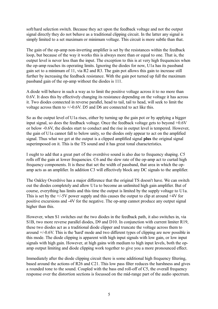soft/hard selection switch. Because they act upon the feedback voltage and not the output signal directly they do not behave as a traditional clipping circuit. In the latter any signal is simply limited to a set maximum or minimum voltage. This circuit is more subtle than that.

The gain of the op-amp non-inverting amplifier is set by the resistances within the feedback loop, but because of the way it works this is always more than or equal to one. That is, the output level is never less than the input. The exception to this is at very high frequencies when the op-amp reaches its operating limits. Ignoring the diodes for now, U1a has its passband gain set to a minimum of 11, via R2 and R3. The gain pot allows this gain to increase still further by increasing the feedback resistance. With the gain pot turned up full the maximum passband gain of the op-amp without the diodes is 111.

A diode will behave in such a way as to limit the positive voltage across it to no more than 0.6V. It does this by effectively changing its resistance depending on the voltage it has across it. Two diodes connected in reverse parallel, head to tail, tail to head, will seek to limit the voltage across them to +/-0.6V. D5 and D6 are connected to act like this.

So as the output level of U1a rises, either by turning up the gain pot or by applying a bigger input signal, so does the feedback voltage. Once the feedback voltage gets to beyond +0.6V or below -0.6V, the diodes start to conduct and the rise in output level is tempered. However, the gain of U1a cannot fall to below unity, so the diodes only appear to act on the amplified signal. Thus what we get at the output is a clipped amplified signal **plus** the original signal superimposed on it. This is the TS sound and it has great tonal characteristics.

I ought to add that a great part of the overdrive sound is also due to frequency shaping. C5 rolls off the gain at lower frequencies. C6 and the slew rate of the op-amp act to curtail high frequency components. It is these that set the width of passband, that area in which the opamp acts as an amplifier. In addition C3 will effectively block any DC signals to the amplifier.

The Oakley Overdrive has a major difference that the original TS doesn't have. We can switch out the diodes completely and allow U1a to become an unlimited high gain amplifier. But of course, everything has limits and this time the output is limited by the supply voltage to U1a. This is set by the  $\pm$ /-5V power supply and this causes the output to clip at around  $\pm$ 4V for positive excursions and -4V for the negative. The op-amp cannot produce any output signal higher than this.

However, when S1 switches out the two diodes in the feedback path, it also switches in, via S1B, two more reverse parallel diodes, D9 and D10. In conjunction with current limiter R19, these two diodes act as a traditional diode clipper and truncate the voltage across them to around +/-0.6V. This is the 'hard' mode and two different types of clipping are now possible in this mode. The diode clipping is apparent with high input signals with low gain, or low input signals with high gain. However, at high gains with medium to high input levels, both the opamp output limiting and diode clipping work together to give you a more pronounced effect.

Immediately after the diode clipping circuit there is some additional high frequency filtering, based around the actions of R26 and C21. This low pass filter reduces the harshness and gives a rounded tone to the sound. Coupled with the bass end roll-off of C5, the overall frequency response over the distortion sections is focussed on the mid-range part of the audio spectrum.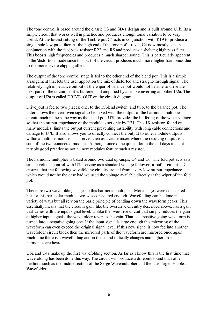The tone control is based around the classic TS and SD-1 design and is built around U1b. Its a simple circuit that works well in practice and produces enough tonal variation to be very useful. At the lowest setting of the Timbre pot C4 acts in conjunction with R19 to produce a single pole low pass filter. At the high end of the tone pot's travel, C4 now mostly acts in conjunction with the feedback resistor R22 and R5 and produces a shelving high pass filter. This boosts high frequencies and produces a much sharper sound. This is particularly apparent in the 'distortion' mode since this part of the circuit produces much more higher harmonics due to the more severe clipping affect.

The output of the tone control stage is fed to the other end of the blend pot. This is a simple arrangement that lets the user apportion the mix of distorted and straight-through signal. The relatively high impedance output of the wiper of balance pot would not be able to drive the next part of the circuit, so it is buffered and amplified by a simple inverting amplifier U2a. The output of U2a is called DRIVE\_OUT on the circuit diagram.

Drive out is fed to two places; one, to the in/blend switch, and two, to the balance pot. The latter allows the overdriven signal to be mixed with the output of the harmonic multiplier circuit much in the same way as the blend pot. U7b provides the buffering of the wiper voltage so that the output impedance of the module is set only by R21. This 1K resistor, found on many modules, limits the output current preventing instability with long cable connections and damage to U7b. It also allows you to directly connect the output to other module outputs within a multiple module. This serves then as a crude mixer where the resulting output is a sum of the two connected modules. Although once done quite a lot in the old days it is not terribly good practice as not all new modules feature such a resistor.

The harmonic multiplier is based around two dual op-amps, U4 and U6. The fold pot acts as a simple volume control with U7a serving as a standard voltage follower or buffer circuit. U7a ensures that the following wavefolding circuits are fed from a very low output impedance which would not be the case had we used the voltage available directly at the wiper of the fold pot.

There are two wavefolding stages in this harmonic multiplier. More stages were considered but for this particular module two was considered enough. Wavefolding can be done in a variety of ways but all rely on the basic principle of bending down the waveform peaks. This essentially means that the circuit's gain, like the overdrive circuitry described above, has a gain that varies with the input signal level. Unlike the overdrive circuit that simply reduces the gain at higher input signals, the wavefolder reverses the gain. That is, a positive going waveform is turned into a negative going one. If the input signal is large enough this mirroring of the waveform can even exceed the original signal level. If this new signal is now fed into another wavefolder circuit block then the mirrored parts of the waveform are mirrored once again. Each time there is a wavefolding action the sound radically changes and higher order harmonics are heard.

U6a and U4a make up the first wavefolding section. As far as I know this is the first time that wavefolding has been done this way. The circuit will produce a different sound than other methods such as the middle section of the Serge Wavemultiplier and the late Jürgen Haible's Wavefolder.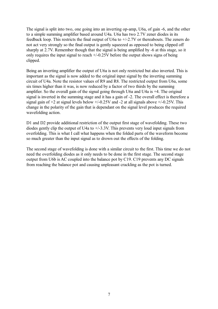The signal is split into two, one going into an inverting op-amp, U6a, of gain -6, and the other to a simple summing amplifier based around U4a. U6a has two 2.7V zener diodes in its feedback loop. This restricts the final output of U6a to +/-2.7V or thereabouts. The zeners do not act very strongly so the final output is gently squeezed as opposed to being clipped off sharply at 2.7V. Remember though that the signal is being amplified by -6 at this stage, so it only requires the input signal to reach  $+/-0.25V$  before the output shows signs of being clipped.

Being an inverting amplifier the output of U6a is not only restricted but also inverted. This is important as the signal is now added to the original input signal by the inverting summing circuit of U4a. Note the resistor values of R9 and R8. The restricted output from U6a, some six times higher than it was, is now reduced by a factor of two thirds by the summing amplifier. So the overall gain of the signal going through U6a and U4a is +4. The original signal is inverted in the summing stage and it has a gain of -2. The overall effect is therefore a signal gain of  $+2$  at signal levels below  $+/-0.25V$  and  $-2$  at all signals above  $+/-0.25V$ . This change in the polarity of the gain that is dependant on the signal level produces the required wavefolding action.

D1 and D2 provide additional restriction of the output first stage of wavefolding. These two diodes gently clip the output of U4a to +/-3.3V. This prevents very loud input signals from overfolding. This is what I call what happens when the folded parts of the waveform become so much greater than the input signal as to drown out the effects of the folding.

The second stage of wavefolding is done with a similar circuit to the first. This time we do not need the overfolding diodes as it only needs to be done in the first stage. The second stage output from U6b is AC coupled into the balance pot by C19. C19 prevents any DC signals from reaching the balance pot and causing unpleasant crackling as the pot is turned.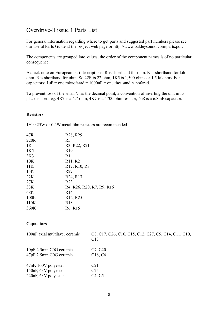# Overdrive-II issue 1 Parts List

For general information regarding where to get parts and suggested part numbers please see our useful Parts Guide at the project web page or http://www.oakleysound.com/parts.pdf.

The components are grouped into values, the order of the component names is of no particular consequence.

A quick note on European part descriptions. R is shorthand for ohm. K is shorthand for kiloohm. R is shorthand for ohm. So 22R is 22 ohm, 1K5 is 1,500 ohms or 1.5 kilohms. For capacitors:  $1uF =$  one microfarad =  $1000nF =$  one thousand nanofarad.

To prevent loss of the small '.' as the decimal point, a convention of inserting the unit in its place is used. eg. 4R7 is a 4.7 ohm, 4K7 is a 4700 ohm resistor, 6n8 is a 6.8 nF capacitor.

#### **Resistors**

1% 0.25W or 0.4W metal film resistors are recommended.

| 47R             | R <sub>28</sub> , R <sub>29</sub>                                                                      |
|-----------------|--------------------------------------------------------------------------------------------------------|
| 220R            | R <sub>5</sub>                                                                                         |
| 1K              | R <sub>3</sub> , R <sub>22</sub> , R <sub>21</sub>                                                     |
| 1K <sub>5</sub> | R <sub>19</sub>                                                                                        |
| 3K <sub>3</sub> | R1                                                                                                     |
| 10K             | R <sub>11</sub> , R <sub>2</sub>                                                                       |
| 11K             | R <sub>17</sub> , R <sub>10</sub> , R <sub>8</sub>                                                     |
| 15K             | R <sub>27</sub>                                                                                        |
| 22K             | R <sub>24</sub> , R <sub>13</sub>                                                                      |
| 27K             | R <sub>23</sub>                                                                                        |
| 33K             | R <sub>4</sub> , R <sub>26</sub> , R <sub>20</sub> , R <sub>7</sub> , R <sub>9</sub> , R <sub>16</sub> |
| 68K             | R14                                                                                                    |
| 100K            | R <sub>12</sub> , R <sub>25</sub>                                                                      |
| 110K            | R18                                                                                                    |
| 360K            | R <sub>6</sub> , R <sub>15</sub>                                                                       |

#### **Capacitors**

| 100nF axial multilayer ceramic | C8, C17, C26, C16, C15, C12, C27, C9, C14, C11, C10,<br>C <sub>13</sub> |
|--------------------------------|-------------------------------------------------------------------------|
| 10pF 2.5mm C0G ceramic         | C <sub>7</sub> , C <sub>20</sub>                                        |
| 47pF 2.5mm C0G ceramic         | C <sub>18</sub> , C <sub>6</sub>                                        |
| 47nF, 100V polyester           | C <sub>21</sub>                                                         |
| 150nF, 63V polyester           | C <sub>25</sub>                                                         |
| 220nF, 63V polyester           | C <sub>4</sub> , C <sub>5</sub>                                         |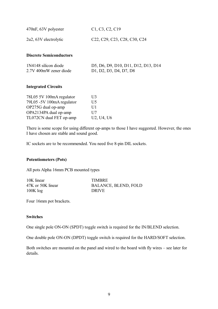| 470nF, 63V polyester  | C1, C3, C2, C19                                                                                           |
|-----------------------|-----------------------------------------------------------------------------------------------------------|
| 2u2, 63V electrolytic | C <sub>22</sub> , C <sub>29</sub> , C <sub>23</sub> , C <sub>28</sub> , C <sub>30</sub> , C <sub>24</sub> |

#### **Discrete Semiconductors**

| 1N4148 silicon diode   | D5, D6, D9, D10, D11, D12, D13, D14 |
|------------------------|-------------------------------------|
| 2.7V 400mW zener diode | D1, D2, D3, D4, D7, D8              |

## **Integrated Circuits**

| 78L05 5V 100mA regulator  | U3           |
|---------------------------|--------------|
| 79L05 -5V 100mA regulator | U5           |
| OP275G dual op-amp        | UI1          |
| OPA2134PA dual op-amp     | $_{\rm II7}$ |
| TL072CN dual FET op-amp   | U2, U4, U6   |

There is some scope for using different op-amps to those I have suggested. However, the ones I have chosen are stable and sound good.

IC sockets are to be recommended. You need five 8-pin DIL sockets.

## **Potentiometers (Pots)**

All pots Alpha 16mm PCB mounted types

| 10K linear        | <b>TIMBRE</b>               |
|-------------------|-----------------------------|
| 47K or 50K linear | <b>BALANCE, BLEND, FOLD</b> |
| $100K \log$       | <b>DRIVE</b>                |

Four 16mm pot brackets.

#### **Switches**

One single pole ON-ON (SPDT) toggle switch is required for the IN/BLEND selection.

One double pole ON-ON (DPDT) toggle switch is required for the HARD/SOFT selection.

Both switches are mounted on the panel and wired to the board with fly wires – see later for details.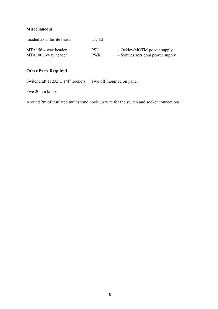## **Miscellaneous**

| Leaded axial ferrite beads | L1. L2     |                                 |
|----------------------------|------------|---------------------------------|
| MTA1564 way header         | <b>PSU</b> | $-$ Oakley/MOTM power supply    |
| MTA100 6-way header        | <b>PWR</b> | - Synthesizers.com power supply |

## **Other Parts Required**

Switchcraft 112APC 1/4" sockets Two off mounted on panel

Five 20mm knobs.

Around 2m of insulated multistrand hook up wire for the switch and socket connections.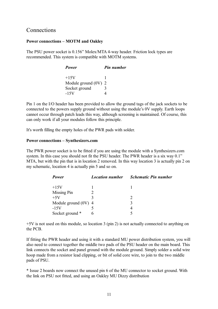## **Connections**

## **Power connections – MOTM and Oakley**

The PSU power socket is 0.156" Molex/MTA 4-way header. Friction lock types are recommended. This system is compatible with MOTM systems.

| Power                  | <b>Pin number</b> |
|------------------------|-------------------|
| $+15V$                 |                   |
| Module ground $(0V)$ 2 |                   |
| Socket ground          | 3                 |
| $-15V$                 |                   |

Pin 1 on the I/O header has been provided to allow the ground tags of the jack sockets to be connected to the powers supply ground without using the module's 0V supply. Earth loops cannot occur through patch leads this way, although screening is maintained. Of course, this can only work if all your modules follow this principle.

It's worth filling the empty holes of the PWR pads with solder.

## **Power connections – Synthesizers.com**

The PWR power socket is to be fitted if you are using the module with a Synthesizers.com system. In this case you should not fit the PSU header. The PWR header is a six way 0.1" MTA, but with the pin that is in location 2 removed. In this way location 3 is actually pin 2 on my schematic, location 4 is actually pin 5 and so on.

| Power                  | <b>Location number</b> | <b>Schematic Pin number</b> |
|------------------------|------------------------|-----------------------------|
| $+15V$                 |                        |                             |
| Missing Pin            |                        |                             |
| $+5V$                  |                        |                             |
| Module ground $(0V)$ 4 |                        |                             |
| $-15V$                 |                        |                             |
| Socket ground *        |                        |                             |

+5V is not used on this module, so location 3 (pin 2) is not actually connected to anything on the PCB.

If fitting the PWR header and using it with a standard MU power distribution system, you will also need to connect together the middle two pads of the PSU header on the main board. This link connects the socket and panel ground with the module ground. Simply solder a solid wire hoop made from a resistor lead clipping, or bit of solid core wire, to join to the two middle pads of PSU.

\* Issue 2 boards now connect the unused pin 6 of the MU connector to socket ground. With the link on PSU not fitted, and using an Oakley MU Dizzy distribution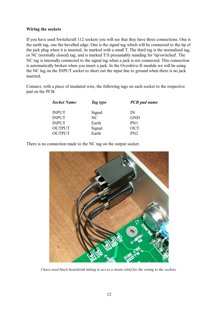## **Wiring the sockets**

If you have used Switchcraft 112 sockets you will see that they have three connections. One is the earth tag, one the bevelled edge. One is the signal tag which will be connected to the tip of the jack plug when it is inserted, its marked with a small T. The third tag is the normalised tag, or NC (normally closed) tag, and is marked T/S presumably standing for 'tip/switched'. The NC tag is internally connected to the signal tag when a jack is not connected. This connection is automatically broken when you insert a jack. In the Overdrive-II module we will be using the NC lug on the INPUT socket to short out the input line to ground when there is no jack inserted.

Connect, with a piece of insulated wire, the following tags on each socket to the respective pad on the PCB:

| <b>Socket Name</b> | Tag type       | <b>PCB</b> pad name |
|--------------------|----------------|---------------------|
| <b>INPUT</b>       | Signal         | IN                  |
| <b>INPUT</b>       | N <sub>C</sub> | <b>GND</b>          |
| <b>INPUT</b>       | Earth          | PN1                 |
| <b>OUTPUT</b>      | Signal         | <b>OUT</b>          |
| <b>OUTPUT</b>      | Earth          | PN2                 |

There is no connection made to the NC tag on the output socket.



*I have used black heatshrink tubing to act as a strain relief for the wiring to the sockets.*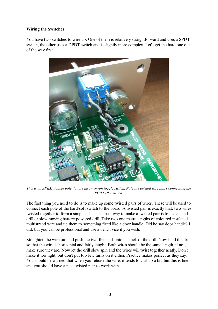## **Wiring the Switches**

You have two switches to wire up. One of them is relatively straightforward and uses a SPDT switch, the other uses a DPDT switch and is slightly more complex. Let's get the hard one out of the way first.



*This is an APEM double pole double throw on-on toggle switch. Note the twisted wire pairs connecting the PCB to the switch.*

The first thing you need to do is to make up some twisted pairs of wires. These will be used to connect each pole of the hard/soft switch to the board. A twisted pair is exactly that, two wires twisted together to form a simple cable. The best way to make a twisted pair is to use a hand drill or slow moving battery powered drill. Take two one metre lengths of coloured insulated multistrand wire and tie them to something fixed like a door handle. Did he say door handle? I did, but you can be professional and use a bench vice if you wish.

Straighten the wire out and push the two free ends into a chuck of the drill. Now hold the drill so that the wire is horizontal and fairly taught. Both wires should be the same length, if not, make sure they are. Now let the drill slow spin and the wires will twist together neatly. Don't make it too tight, but don't put too few turns on it either. Practice makes perfect as they say. You should be warned that when you release the wire, it tends to curl up a bit, but this is fine and you should have a nice twisted pair to work with.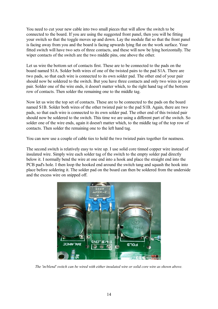You need to cut your new cable into two small pieces that will allow the switch to be connected to the board. If you are using the suggested front panel, then you will be fitting your switch so that the toggle moves up and down. Lay the module flat so that the front panel is facing away from you and the board is facing upwards lying flat on the work surface. Your fitted switch will have two sets of three contacts, and these will now be lying horizontally. The wiper contacts of the switch are the two middle pins, one above the other.

Let us wire the bottom set of contacts first. These are to be connected to the pads on the board named S1A. Solder both wires of one of the twisted pairs to the pad S1A. There are two pads, so that each wire is connected to its own solder pad. The other end of your pair should now be soldered to the switch. But you have three contacts and only two wires in your pair. Solder one of the wire ends, it doesn't matter which, to the right hand tag of the bottom row of contacts. Then solder the remaining one to the middle tag.

Now let us wire the top set of contacts. These are to be connected to the pads on the board named S1B. Solder both wires of the other twisted pair to the pad S1B. Again, there are two pads, so that each wire is connected to its own solder pad. The other end of this twisted pair should now be soldered to the switch. This time we are using a different part of the switch. So solder one of the wire ends, again it doesn't matter which, to the middle tag of the top row of contacts. Then solder the remaining one to the left hand tag.

You can now use a couple of cable ties to hold the two twisted pairs together for neatness.

The second switch is relatively easy to wire up. I use solid core tinned copper wire instead of insulated wire. Simply wire each solder tag of the switch to the empty solder pad directly below it. I normally bend the wire at one end into a hook and place the straight end into the PCB pad's hole. I then loop the hooked end around the switch tang and squash the hook into place before soldering it. The solder pad on the board can then be soldered from the underside and the excess wire on snipped off.



*The 'in/blend' switch can be wired with either insulated wire or solid core wire as shown above.*